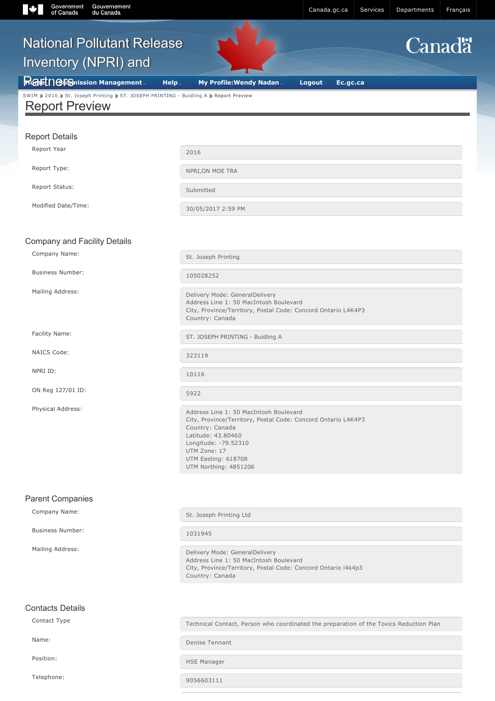| <b>National Pollutant Release</b>                                                                                           |                                                                                                                                                                                                                                          |                    |               |
|-----------------------------------------------------------------------------------------------------------------------------|------------------------------------------------------------------------------------------------------------------------------------------------------------------------------------------------------------------------------------------|--------------------|---------------|
|                                                                                                                             |                                                                                                                                                                                                                                          |                    | <b>Canadä</b> |
| <b>Inventory (NPRI) and</b>                                                                                                 |                                                                                                                                                                                                                                          |                    |               |
| <b>Rafet   GIGnission Management</b><br>SWIM 2016 2 St. Joseph Printing 2 ST. JOSEPH PRINTING - Buidling A 2 Report Preview | <b>Help</b><br><b>My Profile: Wendy Nadan</b>                                                                                                                                                                                            | Logout<br>Ec.gc.ca |               |
| <b>Report Preview</b>                                                                                                       |                                                                                                                                                                                                                                          |                    |               |
| <b>Report Details</b>                                                                                                       |                                                                                                                                                                                                                                          |                    |               |
| Report Year                                                                                                                 | 2016                                                                                                                                                                                                                                     |                    |               |
| Report Type:                                                                                                                | NPRI, ON MOE TRA                                                                                                                                                                                                                         |                    |               |
| Report Status:                                                                                                              | Submitted                                                                                                                                                                                                                                |                    |               |
| Modified Date/Time:                                                                                                         | 30/05/2017 2:59 PM                                                                                                                                                                                                                       |                    |               |
|                                                                                                                             |                                                                                                                                                                                                                                          |                    |               |
| Company and Facility Details                                                                                                |                                                                                                                                                                                                                                          |                    |               |
| Company Name:                                                                                                               | St. Joseph Printing                                                                                                                                                                                                                      |                    |               |
| <b>Business Number:</b>                                                                                                     | 105028252                                                                                                                                                                                                                                |                    |               |
| Mailing Address:                                                                                                            | Delivery Mode: GeneralDelivery<br>Address Line 1: 50 MacIntosh Boulevard<br>City, Province/Territory, Postal Code: Concord Ontario L4K4P3<br>Country: Canada                                                                             |                    |               |
| Facility Name:                                                                                                              | ST. JOSEPH PRINTING - Buidling A                                                                                                                                                                                                         |                    |               |
| NAICS Code:                                                                                                                 | 323119                                                                                                                                                                                                                                   |                    |               |
| NPRI ID:                                                                                                                    | 10116                                                                                                                                                                                                                                    |                    |               |
| ON Reg 127/01 ID:                                                                                                           | 5922                                                                                                                                                                                                                                     |                    |               |
| Physical Address:                                                                                                           | Address Line 1: 50 MacIntosh Boulevard<br>City, Province/Territory, Postal Code: Concord Ontario L4K4P3<br>Country: Canada<br>Latitude: 43.80460<br>Longitude: -79.52310<br>UTM Zone: 17<br>UTM Easting: 618708<br>UTM Northing: 4851206 |                    |               |
| <b>Parent Companies</b>                                                                                                     |                                                                                                                                                                                                                                          |                    |               |
| Company Name:                                                                                                               | St. Joseph Printing Ltd                                                                                                                                                                                                                  |                    |               |
| <b>Business Number:</b>                                                                                                     | 1031945                                                                                                                                                                                                                                  |                    |               |
| Mailing Address:                                                                                                            | Delivery Mode: GeneralDelivery<br>Address Line 1: 50 MacIntosh Boulevard<br>City, Province/Territory, Postal Code: Concord Ontario I4k4p3<br>Country: Canada                                                                             |                    |               |

Contact Type Technical Contact, Person who coordinated the preparation of the Toxics Reduction Plan

Name: Denise Tennant

Position: The Manager of the Manager of the Manager

Telephone: 20056603111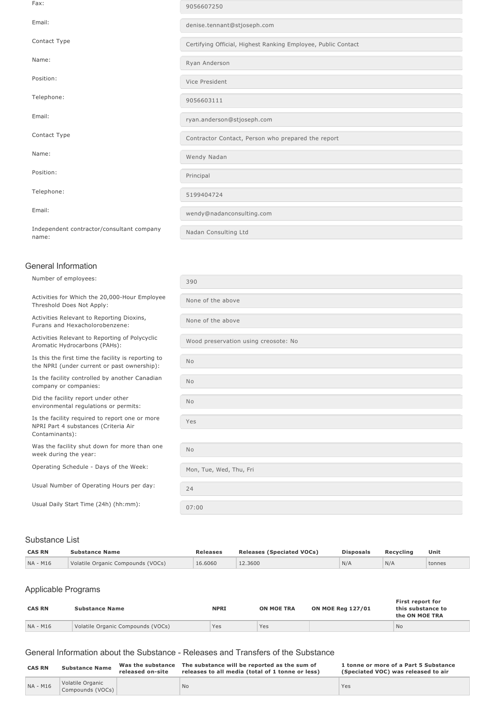Fax: <sup>9056607250</sup> Email: denise.tennant@stjoseph.com Contact Type Contact Type Certifying Official, Highest Ranking Employee, Public Contact Name: Ryan Anderson Position: Vice President Telephone: 9056603111 Email: Email: ryan.anderson@stjoseph.com Contact Type Contact Type Contractor Contact, Person who prepared the report Name: Wendy Nadan Position: Principal Principal Principal Principal Principal Principal Principal Principal Principal Principal Principal Principal Principal Principal Principal Principal Principal Principal Principal Principal Principal Pr Telephone: 5199404724 Email: wendy@nadanconsulting.com Independent contractor/consultant company name: Nadan Consulting Ltd

#### General Information

| Number of employees:                                                                               | 390                                  |
|----------------------------------------------------------------------------------------------------|--------------------------------------|
| Activities for Which the 20,000-Hour Employee<br>Threshold Does Not Apply:                         | None of the above                    |
| Activities Relevant to Reporting Dioxins,<br>Furans and Hexacholorobenzene:                        | None of the above                    |
| Activities Relevant to Reporting of Polycyclic<br>Aromatic Hydrocarbons (PAHs):                    | Wood preservation using creosote: No |
| Is this the first time the facility is reporting to<br>the NPRI (under current or past ownership): | No                                   |
| Is the facility controlled by another Canadian<br>company or companies:                            | <b>No</b>                            |
| Did the facility report under other<br>environmental regulations or permits:                       | <b>No</b>                            |
| Is the facility required to report one or more<br>NPRI Part 4 substances (Criteria Air             | Yes                                  |
| Contaminants):                                                                                     |                                      |
| Was the facility shut down for more than one<br>week during the year:                              | <b>No</b>                            |
| Operating Schedule - Days of the Week:                                                             | Mon, Tue, Wed, Thu, Fri              |
| Usual Number of Operating Hours per day:                                                           | 24                                   |
| Usual Daily Start Time (24h) (hh:mm):                                                              | 07:00                                |

#### Substance List

| <b>CAS RN</b> | <b>Substance Name</b>             | <b>Releases</b> | <b>Releases (Speciated VOCs)</b> | <b>Disposals</b> | Recycling | Unit   |
|---------------|-----------------------------------|-----------------|----------------------------------|------------------|-----------|--------|
| NA - M16      | Volatile Organic Compounds (VOCs) | 16,6060         | 12.3600                          | N/A              | N/A       | tonnes |

# Applicable Programs

| <b>CAS RN</b> | <b>Substance Name</b>             | <b>NPRI</b> | <b>ON MOE TRA</b> | <b>ON MOE Reg 127/01</b> | First report for<br>this substance to<br>the ON MOE TRA |
|---------------|-----------------------------------|-------------|-------------------|--------------------------|---------------------------------------------------------|
| NA - M16      | Volatile Organic Compounds (VOCs) | Yes         | Yes               |                          | <b>No</b>                                               |

### General Information about the Substance Releases and Transfers of the Substance

| <b>CAS RN</b> | <b>Substance Name</b>                | Was the substance<br>released on-site | The substance will be reported as the sum of<br>releases to all media (total of 1 tonne or less) | 1 tonne or more of a Part 5 Substance<br>(Speciated VOC) was released to air |
|---------------|--------------------------------------|---------------------------------------|--------------------------------------------------------------------------------------------------|------------------------------------------------------------------------------|
| NA - M16      | Volatile Organic<br>Compounds (VOCs) |                                       | l No                                                                                             | Yes                                                                          |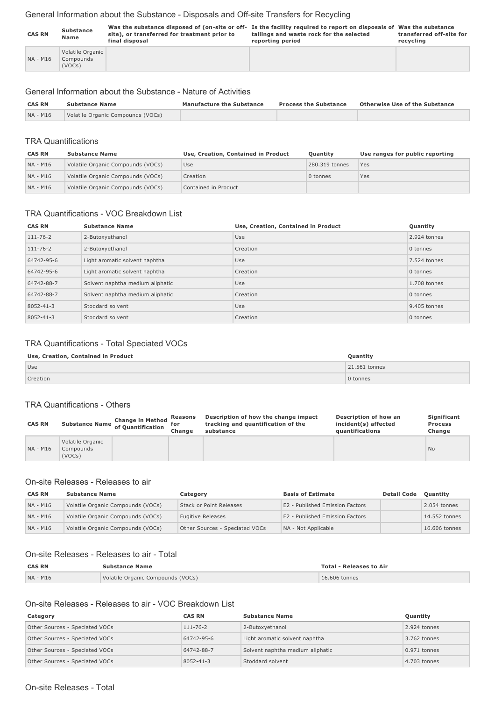# General Information about the Substance - Disposals and Off-site Transfers for Recycling

| <b>CAS RN</b> | Substance<br>Name                       | site), or transferred for treatment prior to<br>final disposal | Was the substance disposed of (on-site or off- Is the facility required to report on disposals of Was the substance<br>tailings and waste rock for the selected<br>reporting period | transferred off-site for<br>recvcling |
|---------------|-----------------------------------------|----------------------------------------------------------------|-------------------------------------------------------------------------------------------------------------------------------------------------------------------------------------|---------------------------------------|
| NA - M16      | Volatile Organic<br>Compounds<br>(VOCs) |                                                                |                                                                                                                                                                                     |                                       |

# General Information about the Substance - Nature of Activities

| <b>CAS RN</b> | <b>Substance Name</b>             | <b>Manufacture the Substance</b> | <b>Process the Substance</b> | <b>Otherwise Use of the Substance</b> |
|---------------|-----------------------------------|----------------------------------|------------------------------|---------------------------------------|
| NA - M16      | Volatile Organic Compounds (VOCs) |                                  |                              |                                       |

# TRA Quantifications

| <b>CAS RN</b> | <b>Substance Name</b>             | Use, Creation, Contained in Product | <b>Ouantity</b> | Use ranges for public reporting |
|---------------|-----------------------------------|-------------------------------------|-----------------|---------------------------------|
| NA - M16      | Volatile Organic Compounds (VOCs) | Use                                 | 280,319 tonnes  | Yes                             |
| NA - M16      | Volatile Organic Compounds (VOCs) | Creation                            | 0 tonnes        | Yes                             |
| NA - M16      | Volatile Organic Compounds (VOCs) | Contained in Product                |                 |                                 |

# TRA Quantifications - VOC Breakdown List

| <b>CAS RN</b>  | <b>Substance Name</b>            | Use, Creation, Contained in Product | Quantity       |
|----------------|----------------------------------|-------------------------------------|----------------|
| $111 - 76 - 2$ | 2-Butoxyethanol                  | Use                                 | 2.924 tonnes   |
| $111 - 76 - 2$ | 2-Butoxyethanol                  | Creation                            | 0 tonnes       |
| 64742-95-6     | Light aromatic solvent naphtha   | Use                                 | 7.524 tonnes   |
| 64742-95-6     | Light aromatic solvent naphtha   | Creation                            | 0 tonnes       |
| 64742-88-7     | Solvent naphtha medium aliphatic | Use                                 | $1.708$ tonnes |
| 64742-88-7     | Solvent naphtha medium aliphatic | Creation                            | 0 tonnes       |
| 8052-41-3      | Stoddard solvent                 | Use                                 | 9.405 tonnes   |
| 8052-41-3      | Stoddard solvent                 | Creation                            | 0 tonnes       |

# TRA Quantifications - Total Speciated VOCs

#### **Use, Creation, Contained in Product Quantity**

| Use      | 21.561 tonnes |
|----------|---------------|
| Creation | 0 tonnes      |

#### TRA Quantifications - Others

| <b>CAS RN</b> |                                         | <b>Change in Method</b><br>Substance Name of Quantification " | Reasons<br>for<br>Change | Description of how the change impact<br>tracking and quantification of the<br>substance | Description of how an<br>incident(s) affected<br>quantifications | Significant<br><b>Process</b><br>Change |
|---------------|-----------------------------------------|---------------------------------------------------------------|--------------------------|-----------------------------------------------------------------------------------------|------------------------------------------------------------------|-----------------------------------------|
| NA - M16      | Volatile Organic<br>Compounds<br>(VOCs) |                                                               |                          |                                                                                         |                                                                  | N <sub>o</sub>                          |

# On-site Releases - Releases to air

| <b>CAS RN</b> | <b>Substance Name</b>             | Category                       | <b>Basis of Estimate</b>        | <b>Detail Code</b> | Ouantity      |
|---------------|-----------------------------------|--------------------------------|---------------------------------|--------------------|---------------|
| NA - M16      | Volatile Organic Compounds (VOCs) | Stack or Point Releases        | E2 - Published Emission Factors |                    | 2.054 tonnes  |
| NA - M16      | Volatile Organic Compounds (VOCs) | <b>Fugitive Releases</b>       | E2 - Published Emission Factors |                    | 14.552 tonnes |
| NA - M16      | Volatile Organic Compounds (VOCs) | Other Sources - Speciated VOCs | NA - Not Applicable             |                    | 16,606 tonnes |

# On-site Releases - Releases to air - Total

| <b>CAS RN</b> | <b>Substance Name</b>             | <b>Total - Releases to Air</b> |  |
|---------------|-----------------------------------|--------------------------------|--|
| NA - M16      | Volatile Organic Compounds (VOCs) | 16,606 tonnes                  |  |

## On-site Releases - Releases to air - VOC Breakdown List

| Category                       | <b>CAS RN</b>   | <b>Substance Name</b>            | Quantity     |
|--------------------------------|-----------------|----------------------------------|--------------|
| Other Sources - Speciated VOCs | $111 - 76 - 2$  | 2-Butoxyethanol                  | 2.924 tonnes |
| Other Sources - Speciated VOCs | 64742-95-6      | Light aromatic solvent naphtha   | 3.762 tonnes |
| Other Sources - Speciated VOCs | 64742-88-7      | Solvent naphtha medium aliphatic | 0.971 tonnes |
| Other Sources - Speciated VOCs | $8052 - 41 - 3$ | Stoddard solvent                 | 4.703 tonnes |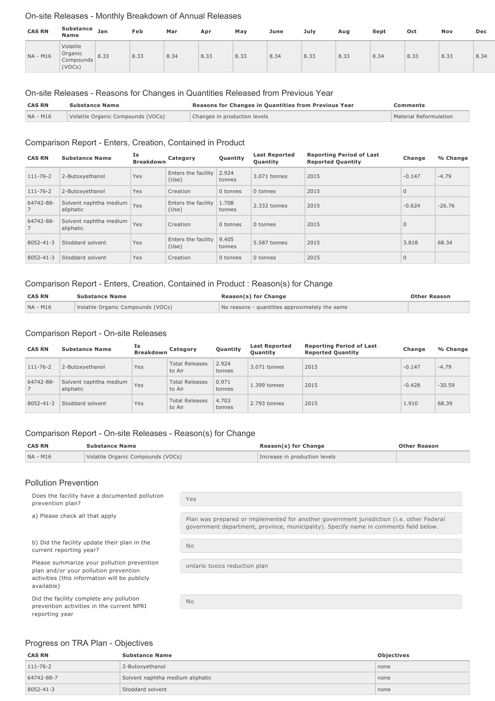### On-site Releases - Monthly Breakdown of Annual Releases

| <b>CAS RN</b> | Substance<br><b>Name</b>                   | Jan  | Feb  | Mar  | Apr  | May  | June | July | Aug  | Sept | Oct  | Nov  | Dec  |
|---------------|--------------------------------------------|------|------|------|------|------|------|------|------|------|------|------|------|
| NA - M16      | Volatile<br>Organic<br>Compounds<br>(VOCs) | 8.33 | 8.33 | 8.34 | 8.33 | 8.33 | 8.34 | 8.33 | 8.33 | 8.34 | 8.33 | 8.33 | 8.34 |

#### On-site Releases - Reasons for Changes in Quantities Released from Previous Year

| <b>CAS RN</b> | <b>Substance Name</b>             | Reasons for Changes in Quantities from Previous Year | Comments               |  |
|---------------|-----------------------------------|------------------------------------------------------|------------------------|--|
| NA - M16      | Volatile Organic Compounds (VOCs) | Changes in production levels                         | Material Reformulation |  |

#### Comparison Report - Enters, Creation, Contained in Product

| <b>CAS RN</b>  | <b>Substance Name</b>               | Is<br><b>Breakdown</b> | Category                     | Quantity        | <b>Last Reported</b><br><b>Ouantity</b> | <b>Reporting Period of Last</b><br><b>Reported Quantity</b> | Change         | % Change |
|----------------|-------------------------------------|------------------------|------------------------------|-----------------|-----------------------------------------|-------------------------------------------------------------|----------------|----------|
| $111 - 76 - 2$ | 2-Butoxyethanol                     | Yes                    | Enters the facility<br>(Use) | 2.924<br>tonnes | 3.071 tonnes                            | 2015                                                        | $-0.147$       | $-4.79$  |
| $111 - 76 - 2$ | 2-Butoxyethanol                     | Yes                    | Creation                     | 0 tonnes        | 0 tonnes                                | 2015                                                        | $\overline{0}$ |          |
| 64742-88-      | Solvent naphtha medium<br>aliphatic | Yes                    | Enters the facility<br>(Use) | 1.708<br>tonnes | 2.332 tonnes                            | 2015                                                        | $-0.624$       | $-26.76$ |
| 64742-88-      | Solvent naphtha medium<br>aliphatic | Yes                    | Creation                     | 0 tonnes        | 0 tonnes                                | 2015                                                        | $\mathbf 0$    |          |
| 8052-41-3      | Stoddard solvent                    | Yes                    | Enters the facility<br>(Use) | 9.405<br>tonnes | 5.587 tonnes                            | 2015                                                        | 3.818          | 68.34    |
| 8052-41-3      | Stoddard solvent                    | Yes                    | Creation                     | 0 tonnes        | 0 tonnes                                | 2015                                                        | $\mathbf 0$    |          |

## Comparison Report - Enters, Creation, Contained in Product : Reason(s) for Change

| <b>CAS RN</b> | <b>Substance Name</b>             | <b>Reason(s) for Change</b>                    | <b>Other Reason</b> |
|---------------|-----------------------------------|------------------------------------------------|---------------------|
| NA - M16      | Volatile Organic Compounds (VOCs) | No reasons - quantities approximately the same |                     |

#### Comparison Report - On-site Releases

| <b>CAS RN</b>  | <b>Substance Name</b>               | Is<br><b>Breakdown</b> | Category                        | Quantity        | <b>Last Reported</b><br>Quantity | <b>Reporting Period of Last</b><br><b>Reported Quantity</b> | Change   | % Change |
|----------------|-------------------------------------|------------------------|---------------------------------|-----------------|----------------------------------|-------------------------------------------------------------|----------|----------|
| $111 - 76 - 2$ | 2-Butoxyethanol                     | Yes                    | <b>Total Releases</b><br>to Air | 2.924<br>tonnes | 3.071 tonnes                     | 2015                                                        | $-0.147$ | $-4.79$  |
| 64742-88-      | Solvent naphtha medium<br>aliphatic | Yes                    | <b>Total Releases</b><br>to Air | 0.971<br>tonnes | $1.399$ tonnes                   | 2015                                                        | $-0.428$ | $-30.59$ |
| 8052-41-3      | Stoddard solvent                    | Yes                    | <b>Total Releases</b><br>to Air | 4.703<br>tonnes | 2.793 tonnes                     | 2015                                                        | 1.910    | 68.39    |

# Comparison Report - On-site Releases - Reason(s) for Change

| <b>CAS RN</b><br><b>Substance Name</b> |                                   | Reason(s) for Change          | <b>Other Reason</b> |
|----------------------------------------|-----------------------------------|-------------------------------|---------------------|
| NA - M16                               | Volatile Organic Compounds (VOCs) | Increase in production levels |                     |

#### Pollution Prevention

Does the facility have a documented pollution prevention plan?

b) Did the facility update their plan in the current reporting year?

Please summarize your pollution prevention plan and/or your pollution prevention activities (this information will be publicly available)

Did the facility complete any pollution prevention activities in the current NPRI reporting year

Yes

a) Please check all that apply **Plan was prepared or implemented for another government jurisdiction (i.e. other Federal** government department, province, municipality). Specify name in comments field below.

No

ontario toxics reduction plan

 $N<sub>0</sub>$ 

# Progress on TRA Plan - Objectives

| <b>CAS RN</b>  | <b>Substance Name</b>            | Objectives |
|----------------|----------------------------------|------------|
| $111 - 76 - 2$ | 2-Butoxyethanol                  | none       |
| 64742-88-7     | Solvent naphtha medium aliphatic | none       |
| 8052-41-3      | Stoddard solvent                 | none       |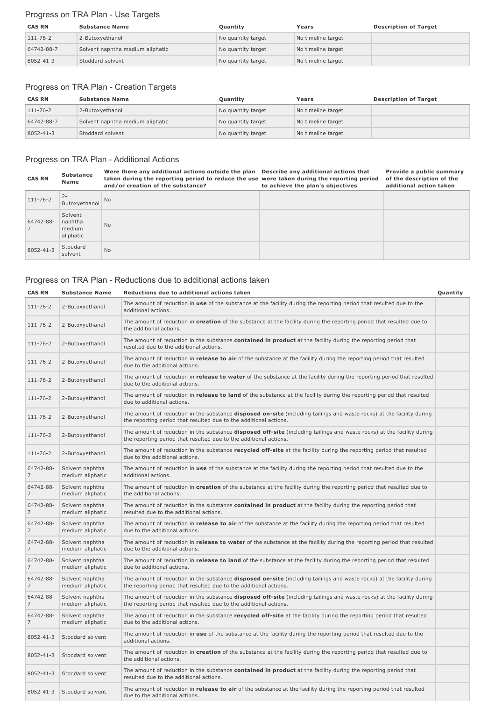# Progress on TRA Plan - Use Targets

| <b>CAS RN</b>  | <b>Substance Name</b>            | <b>Ouantity</b>    | Years              | <b>Description of Target</b> |
|----------------|----------------------------------|--------------------|--------------------|------------------------------|
| $111 - 76 - 2$ | 2-Butoxyethanol                  | No quantity target | No timeline target |                              |
| 64742-88-7     | Solvent naphtha medium aliphatic | No quantity target | No timeline target |                              |
| 8052-41-3      | Stoddard solvent                 | No quantity target | No timeline target |                              |

# Progress on TRA Plan - Creation Targets

| <b>CAS RN</b>  | <b>Substance Name</b>            | Quantity           | Years              | <b>Description of Target</b> |
|----------------|----------------------------------|--------------------|--------------------|------------------------------|
| $111 - 76 - 2$ | 2-Butoxyethanol                  | No quantity target | No timeline target |                              |
| 64742-88-7     | Solvent naphtha medium aliphatic | No quantity target | No timeline target |                              |
| 8052-41-3      | Stoddard solvent                 | No quantity target | No timeline target |                              |

# Progress on TRA Plan - Additional Actions

| <b>CAS RN</b>  | <b>Substance</b><br>Name                  | Were there any additional actions outside the plan Describe any additional actions that<br>taken during the reporting period to reduce the use were taken during the reporting period<br>and/or creation of the substance? | to achieve the plan's objectives | Provide a public summary<br>of the description of the<br>additional action taken |
|----------------|-------------------------------------------|----------------------------------------------------------------------------------------------------------------------------------------------------------------------------------------------------------------------------|----------------------------------|----------------------------------------------------------------------------------|
| $111 - 76 - 2$ | $2 -$<br>Butoxvethanol                    | N <sub>o</sub>                                                                                                                                                                                                             |                                  |                                                                                  |
| 64742-88-      | Solvent<br>naphtha<br>medium<br>aliphatic | <b>No</b>                                                                                                                                                                                                                  |                                  |                                                                                  |
| 8052-41-3      | Stoddard<br>solvent                       | <b>No</b>                                                                                                                                                                                                                  |                                  |                                                                                  |

# Progress on TRA Plan - Reductions due to additional actions taken

| <b>CAS RN</b>               | <b>Substance Name</b>               | Reductions due to additional actions taken                                                                                                                                                        | Quantity |
|-----------------------------|-------------------------------------|---------------------------------------------------------------------------------------------------------------------------------------------------------------------------------------------------|----------|
| $111 - 76 - 2$              | 2-Butoxyethanol                     | The amount of reduction in use of the substance at the facility during the reporting period that resulted due to the<br>additional actions.                                                       |          |
| $111 - 76 - 2$              | 2-Butoxyethanol                     | The amount of reduction in creation of the substance at the facility during the reporting period that resulted due to<br>the additional actions.                                                  |          |
| $111 - 76 - 2$              | 2-Butoxyethanol                     | The amount of reduction in the substance <b>contained in product</b> at the facility during the reporting period that<br>resulted due to the additional actions.                                  |          |
| $111 - 76 - 2$              | 2-Butoxyethanol                     | The amount of reduction in release to air of the substance at the facility during the reporting period that resulted<br>due to the additional actions.                                            |          |
| $111 - 76 - 2$              | 2-Butoxyethanol                     | The amount of reduction in release to water of the substance at the facility during the reporting period that resulted<br>due to the additional actions.                                          |          |
| $111 - 76 - 2$              | 2-Butoxyethanol                     | The amount of reduction in release to land of the substance at the facility during the reporting period that resulted<br>due to additional actions.                                               |          |
| $111 - 76 - 2$              | 2-Butoxyethanol                     | The amount of reduction in the substance <b>disposed on-site</b> (including tailings and waste rocks) at the facility during<br>the reporting period that resulted due to the additional actions. |          |
| $111 - 76 - 2$              | 2-Butoxyethanol                     | The amount of reduction in the substance disposed off-site (including tailings and waste rocks) at the facility during<br>the reporting period that resulted due to the additional actions.       |          |
| $111 - 76 - 2$              | 2-Butoxyethanol                     | The amount of reduction in the substance recycled off-site at the facility during the reporting period that resulted<br>due to the additional actions.                                            |          |
| 64742-88-<br>7              | Solvent naphtha<br>medium aliphatic | The amount of reduction in use of the substance at the facility during the reporting period that resulted due to the<br>additional actions.                                                       |          |
| 64742-88-<br>$\overline{7}$ | Solvent naphtha<br>medium aliphatic | The amount of reduction in creation of the substance at the facility during the reporting period that resulted due to<br>the additional actions.                                                  |          |
| 64742-88-<br>$\overline{7}$ | Solvent naphtha<br>medium aliphatic | The amount of reduction in the substance contained in product at the facility during the reporting period that<br>resulted due to the additional actions.                                         |          |
| 64742-88-<br>7              | Solvent naphtha<br>medium aliphatic | The amount of reduction in <b>release to air</b> of the substance at the facility during the reporting period that resulted<br>due to the additional actions.                                     |          |
| 64742-88-<br>$\overline{7}$ | Solvent naphtha<br>medium aliphatic | The amount of reduction in release to water of the substance at the facility during the reporting period that resulted<br>due to the additional actions.                                          |          |
| 64742-88-<br>7              | Solvent naphtha<br>medium aliphatic | The amount of reduction in <b>release to land</b> of the substance at the facility during the reporting period that resulted<br>due to additional actions.                                        |          |
| 64742-88-<br>7              | Solvent naphtha<br>medium aliphatic | The amount of reduction in the substance <b>disposed on-site</b> (including tailings and waste rocks) at the facility during<br>the reporting period that resulted due to the additional actions. |          |
| 64742-88-<br>$\overline{7}$ | Solvent naphtha<br>medium aliphatic | The amount of reduction in the substance disposed off-site (including tailings and waste rocks) at the facility during<br>the reporting period that resulted due to the additional actions.       |          |
| 64742-88-<br>7              | Solvent naphtha<br>medium aliphatic | The amount of reduction in the substance recycled off-site at the facility during the reporting period that resulted<br>due to the additional actions.                                            |          |
| 8052-41-3                   | Stoddard solvent                    | The amount of reduction in use of the substance at the facility during the reporting period that resulted due to the<br>additional actions.                                                       |          |
| 8052-41-3                   | Stoddard solvent                    | The amount of reduction in creation of the substance at the facility during the reporting period that resulted due to<br>the additional actions.                                                  |          |
| 8052-41-3                   | Stoddard solvent                    | The amount of reduction in the substance <b>contained in product</b> at the facility during the reporting period that<br>resulted due to the additional actions.                                  |          |
| 8052-41-3                   | Stoddard solvent                    | The amount of reduction in release to air of the substance at the facility during the reporting period that resulted<br>due to the additional actions.                                            |          |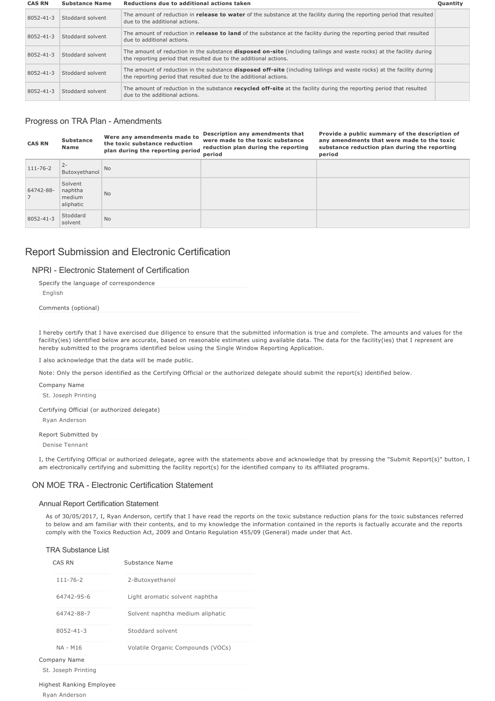| <b>CAS RN</b> | <b>Substance Name</b> | Reductions due to additional actions taken                                                                                                                                                         | Quantity |
|---------------|-----------------------|----------------------------------------------------------------------------------------------------------------------------------------------------------------------------------------------------|----------|
| 8052-41-3     | Stoddard solvent      | The amount of reduction in <b>release to water</b> of the substance at the facility during the reporting period that resulted<br>due to the additional actions.                                    |          |
| 8052-41-3     | Stoddard solvent      | The amount of reduction in <b>release to land</b> of the substance at the facility during the reporting period that resulted<br>due to additional actions.                                         |          |
| 8052-41-3     | Stoddard solvent      | The amount of reduction in the substance <b>disposed on-site</b> (including tailings and waste rocks) at the facility during<br>the reporting period that resulted due to the additional actions.  |          |
| 8052-41-3     | Stoddard solvent      | The amount of reduction in the substance <b>disposed off-site</b> (including tailings and waste rocks) at the facility during<br>the reporting period that resulted due to the additional actions. |          |
| 8052-41-3     | Stoddard solvent      | The amount of reduction in the substance recycled off-site at the facility during the reporting period that resulted<br>due to the additional actions.                                             |          |

## Progress on TRA Plan - Amendments

| <b>CAS RN</b>  | <b>Substance</b><br>Name                  | Were any amendments made to<br>the toxic substance reduction<br>plan during the reporting period | Description any amendments that<br>were made to the toxic substance<br>reduction plan during the reporting<br>period | Provide a public summary of the description of<br>any amendments that were made to the toxic<br>substance reduction plan during the reporting<br>period |
|----------------|-------------------------------------------|--------------------------------------------------------------------------------------------------|----------------------------------------------------------------------------------------------------------------------|---------------------------------------------------------------------------------------------------------------------------------------------------------|
| $111 - 76 - 2$ | $2 -$<br>Butoxyethanol                    | <b>No</b>                                                                                        |                                                                                                                      |                                                                                                                                                         |
| 64742-88-      | Solvent<br>naphtha<br>medium<br>aliphatic | <b>No</b>                                                                                        |                                                                                                                      |                                                                                                                                                         |
| 8052-41-3      | Stoddard<br>solvent                       | <b>No</b>                                                                                        |                                                                                                                      |                                                                                                                                                         |

# Report Submission and Electronic Certification

# NPRI - Electronic Statement of Certification

Specify the language of correspondence English Comments (optional)

I hereby certify that I have exercised due diligence to ensure that the submitted information is true and complete. The amounts and values for the facility(ies) identified below are accurate, based on reasonable estimates using available data. The data for the facility(ies) that I represent are hereby submitted to the programs identified below using the Single Window Reporting Application.

I also acknowledge that the data will be made public.

Note: Only the person identified as the Certifying Official or the authorized delegate should submit the report(s) identified below.

| Company Name                                 |
|----------------------------------------------|
| St. Joseph Printing                          |
| Certifying Official (or authorized delegate) |
| Ryan Anderson                                |
| Report Submitted by                          |

Denise Tennant

I, the Certifying Official or authorized delegate, agree with the statements above and acknowledge that by pressing the "Submit Report(s)" button, I am electronically certifying and submitting the facility report(s) for the identified company to its affiliated programs.

## ON MOE TRA - Electronic Certification Statement

#### Annual Report Certification Statement

As of 30/05/2017, I, Ryan Anderson, certify that I have read the reports on the toxic substance reduction plans for the toxic substances referred to below and am familiar with their contents, and to my knowledge the information contained in the reports is factually accurate and the reports comply with the Toxics Reduction Act, 2009 and Ontario Regulation 455/09 (General) made under that Act.

#### TRA Substance List

| CAS RN              | Substance Name                    |  |  |  |  |
|---------------------|-----------------------------------|--|--|--|--|
| $111 - 76 - 2$      | 2-Butoxyethanol                   |  |  |  |  |
| 64742-95-6          | Light aromatic solvent naphtha    |  |  |  |  |
| 64742-88-7          | Solvent naphtha medium aliphatic  |  |  |  |  |
| $8052 - 41 - 3$     | Stoddard solvent                  |  |  |  |  |
| <b>NA - M16</b>     | Volatile Organic Compounds (VOCs) |  |  |  |  |
| Company Name        |                                   |  |  |  |  |
| St. Joseph Printing |                                   |  |  |  |  |

Highest Ranking Employee

Ryan Anderson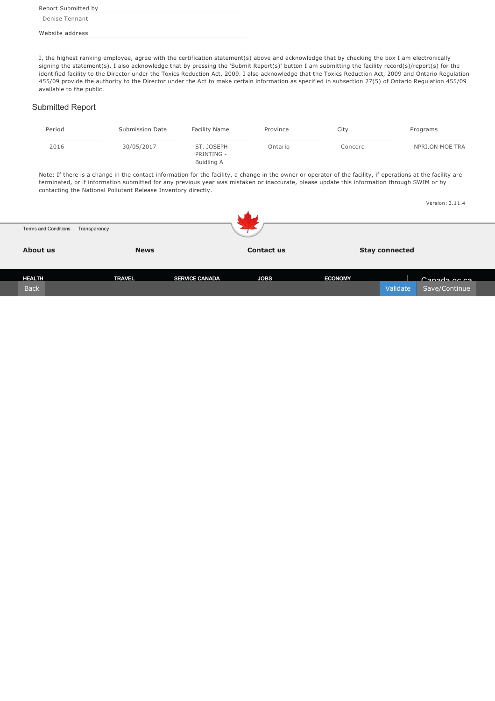Report Submitted by Denise Tennant

#### Website address

I, the highest ranking employee, agree with the certification statement(s) above and acknowledge that by checking the box I am electronically signing the statement(s). I also acknowledge that by pressing the 'Submit Report(s)' button I am submitting the facility record(s)/report(s) for the identified facility to the Director under the Toxics Reduction Act, 2009. I also acknowledge that the Toxics Reduction Act, 2009 and Ontario Regulation 455/09 provide the authority to the Director under the Act to make certain information as specified in subsection 27(5) of Ontario Regulation 455/09 available to the public.

#### Submitted Report

| Period | Submission Date | Facility Name                          | Province | City    | Programs         |
|--------|-----------------|----------------------------------------|----------|---------|------------------|
| 2016   | 30/05/2017      | ST. JOSEPH<br>PRINTING -<br>Buidling A | Ontario  | Concord | NPRI, ON MOE TRA |

Note: If there is a change in the contact information for the facility, a change in the owner or operator of the facility, if operations at the facility are terminated, or if information submitted for any previous year was mistaken or inaccurate, please update this information through SWIM or by contacting the National Pollutant Release Inventory directly.

|                                     |               |                       |                   |                |                       | Version: 3.11.4 |  |
|-------------------------------------|---------------|-----------------------|-------------------|----------------|-----------------------|-----------------|--|
|                                     |               |                       | .,                |                |                       |                 |  |
| Terms and Conditions   Transparency |               |                       |                   |                |                       |                 |  |
| About us                            | <b>News</b>   |                       | <b>Contact us</b> |                | <b>Stay connected</b> |                 |  |
|                                     |               |                       |                   |                |                       |                 |  |
| <b>HEALTH_</b>                      | <b>TRAVEL</b> | <b>SERVICE CANADA</b> | <b>JOBS</b>       | <b>ECONOMY</b> |                       | Canada as sal   |  |
| <b>Back</b>                         |               |                       |                   |                | Validate              | Save/Continue   |  |